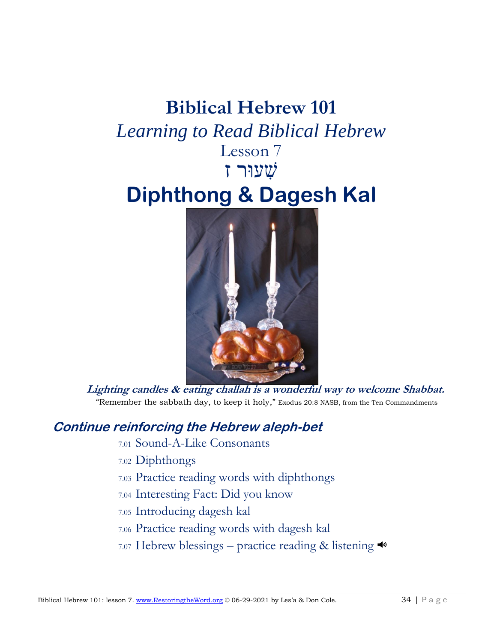## **Biblical Hebrew 101**  *Learning to Read Biblical Hebrew* Lesson 7 שִׁ עוּר ז

# **Diphthong & Dagesh Kal**



**Lighting candles & eating challah is a wonderful way to welcome Shabbat.** "Remember the sabbath day, to keep it holy," Exodus 20:8 NASB, from the Ten Commandments

### **Continue reinforcing the Hebrew aleph-bet**

- 7.01 Sound-A-Like Consonants
- 7.02 Diphthongs
- 7.03 Practice reading words with diphthongs
- 7.04 Interesting Fact: Did you know
- 7.05 Introducing dagesh kal
- 7.06 Practice reading words with dagesh kal
- 7.07 Hebrew blessings practice reading & listening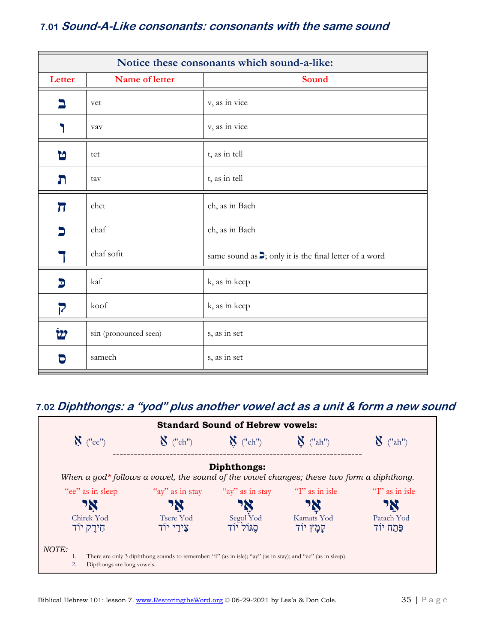#### **7.01 Sound-A-Like consonants: consonants with the same sound**

| Notice these consonants which sound-a-like: |                       |                                                                        |
|---------------------------------------------|-----------------------|------------------------------------------------------------------------|
| Letter                                      | Name of letter        | Sound                                                                  |
| ┑                                           | vet                   | v, as in vice                                                          |
|                                             | vav                   | v, as in vice                                                          |
| M                                           | tet                   | t, as in tell                                                          |
| Л                                           | tav                   | t, as in tell                                                          |
| π                                           | chet                  | ch, as in Bach                                                         |
|                                             | chaf                  | ch, as in Bach                                                         |
|                                             | chaf sofit            | same sound as $\triangleright$ ; only it is the final letter of a word |
| Đ                                           | kaf                   | k, as in keep                                                          |
| 7                                           | koof                  | k, as in keep                                                          |
| ש                                           | sin (pronounced seen) | s, as in set                                                           |
|                                             | samech                | s, as in set                                                           |

#### **7.02 Diphthongs: a "yod" plus another vowel act as a unit & form a new sound**

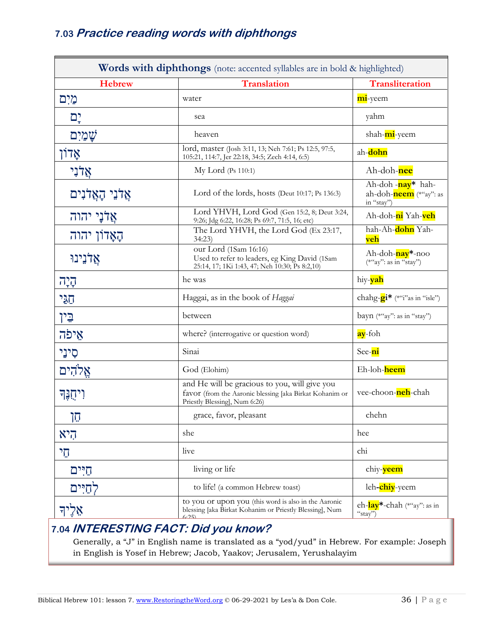#### **7.03 Practice reading words with diphthongs**

| Words with diphthongs (note: accented syllables are in bold & highlighted) |                                                                                                                                           |                                                                         |
|----------------------------------------------------------------------------|-------------------------------------------------------------------------------------------------------------------------------------------|-------------------------------------------------------------------------|
| <b>Hebrew</b>                                                              | <b>Translation</b>                                                                                                                        | <b>Transliteration</b>                                                  |
| מַיִם                                                                      | water                                                                                                                                     | mi-yeem                                                                 |
| יָם                                                                        | sea                                                                                                                                       | yahm                                                                    |
| שַׁמַיִם                                                                   | heaven                                                                                                                                    | shah-mi-yeem                                                            |
| אָדוֹן                                                                     | lord, master (Josh 3:11, 13; Neh 7:61; Ps 12:5, 97:5,<br>105:21, 114:7, Jer 22:18, 34:5; Zech 4:14, 6:5)                                  | ah-dohn                                                                 |
| אֲדֹנִי                                                                    | $My$ Lord (Ps 110:1)                                                                                                                      | Ah-doh-nee                                                              |
| אֲדֹנֵי הָאֲדֹנִים                                                         | Lord of the lords, hosts (Deut 10:17; Ps 136:3)                                                                                           | Ah-doh - <mark>nay</mark> * hah-<br>ah-doh-neem (*"ay": as<br>in "stay" |
| אַלנַי יהוה                                                                | Lord YHVH, Lord God (Gen 15:2, 8; Deut 3:24,<br>9:26; Jdg 6:22, 16:28; Ps 69:7, 71:5, 16; etc)                                            | Ah-doh-ni Yah-veh                                                       |
| הָאָדון יהוה                                                               | The Lord YHVH, the Lord God (Ex 23:17,<br>34:23                                                                                           | hah-Ah- <mark>dohn</mark> Yah-<br>veh                                   |
| אַלֹנֵינוּ                                                                 | our Lord (1Sam 16:16)<br>Used to refer to leaders, eg King David (1Sam<br>25:14, 17; 1Ki 1:43, 47; Neh 10:30; Ps 8:2,10)                  | Ah-doh- <mark>nay</mark> *-noo<br>$(*``ay": as in ``stay")$             |
| קיָה                                                                       | he was                                                                                                                                    | hiy- <mark>yah</mark>                                                   |
| הַגַּי                                                                     | Haggai, as in the book of Haggai                                                                                                          | chahg- <b>gi*</b> (*"i"as in "isle")                                    |
| <u>בֵ</u> ין                                                               | between                                                                                                                                   | bayn (*"ay": as in "stay")                                              |
| אֵיפֿה                                                                     | where? (interrogative or question word)                                                                                                   | ay-foh                                                                  |
| סִינֵי                                                                     | Sinai                                                                                                                                     | See-ni                                                                  |
| אֵלהִים                                                                    | God (Elohim)                                                                                                                              | Eh-loh-heem                                                             |
| <b>ויחֶנֶּד</b>                                                            | and He will be gracious to you, will give you<br>favor (from the Aaronic blessing Jaka Birkat Kohanim or<br>Priestly Blessing], Num 6:26) | vee-choon-neh-chah                                                      |
| הֶן                                                                        | grace, favor, pleasant                                                                                                                    | chehn                                                                   |
| היא                                                                        | she                                                                                                                                       | hee                                                                     |
| הי                                                                         | live                                                                                                                                      | chi                                                                     |
| חַיִּים                                                                    | living or life                                                                                                                            | chiy- <b>yeem</b>                                                       |
| לחיים                                                                      | to life! (a common Hebrew toast)                                                                                                          | leh-chiy-yeem                                                           |
| אַלִיד                                                                     | to you or upon you (this word is also in the Aaronic<br>blessing [aka Birkat Kohanim or Priestly Blessing], Num                           | eh-lay <sup>*</sup> -chah (*"ay": as in<br>"stay"                       |

#### **7.04 INTERESTING FACT: Did you know?**

Generally, a "J" in English name is translated as a "yod/yud" in Hebrew. For example: Joseph in English is Yosef in Hebrew; Jacob, Yaakov; Jerusalem, Yerushalayim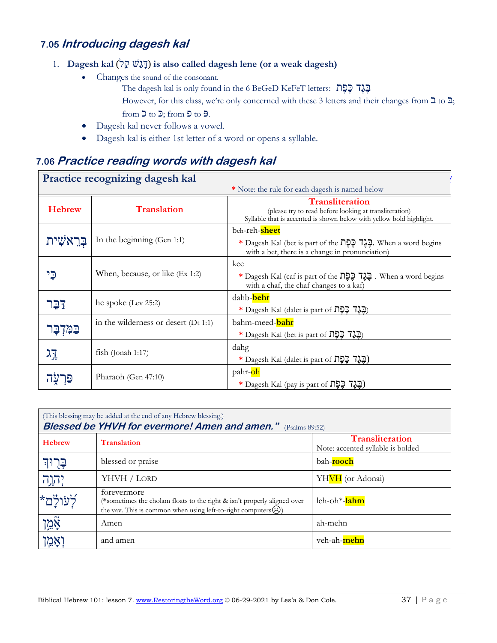#### **7.05 Introducing dagesh kal**

- 1. **Dagesh kal** (דְּגֵשׁ קָל) is also called dagesh lene (or a weak dagesh)
	- Changes the sound of the consonant.
		- The dagesh kal is only found in the 6 BeGeD KeFeT letters: בֵגֵד כֵפֵת
		- However, for this class, we're only concerned with these 3 letters and their changes from  $\exists$  to  $\exists$ ; from  $\supset$  to  $\supset$ ; from  $\supset$  to  $\supseteq$ .
	- Dagesh kal never follows a vowel.
	- Dagesh kal is either 1st letter of a word or opens a syllable.

#### **7.06 Practice reading words with dagesh kal**

| Practice recognizing dagesh kal                 |                                      |                                                                                                                                                          |
|-------------------------------------------------|--------------------------------------|----------------------------------------------------------------------------------------------------------------------------------------------------------|
| * Note: the rule for each dagesh is named below |                                      |                                                                                                                                                          |
| <b>Hebrew</b>                                   | <b>Translation</b>                   | <b>Transliteration</b><br>(please try to read before looking at transliteration)<br>Syllable that is accented is shown below with yellow bold highlight. |
|                                                 |                                      | beh-reh- <mark>sheet</mark>                                                                                                                              |
| בִּרֵאשִׁית                                     | In the beginning (Gen 1:1)           | * Dagesh Kal (bet is part of the הֲגָד כֶּבָּה When a word begins<br>with a bet, there is a change in pronunciation)                                     |
| כי                                              | When, because, or like (Ex 1:2)      | kee<br>* Dagesh Kal (caf is part of the הֲגָד כֶּפָה When a word begins<br>with a chaf, the chaf changes to a kaf)                                       |
| דַבּר                                           | he spoke (Lev 25:2)                  | dahb- <mark>behr</mark><br>* Dagesh Kal (dalet is part of הֲבֶלָךְ בָּפֶת                                                                                |
| בַּמְּדְבַַר                                    | in the wilderness or desert (Dt 1:1) | bahm-meed- <mark>bahr</mark><br>* Dagesh Kal (bet is part of תֲבָלָךְ בַּפָת                                                                             |
| ጓ፲                                              | $fish$ (Jonah 1:17)                  | dahg<br>* Dagesh Kal (dalet is part of הֲבֶלָךְ בָּפָת                                                                                                   |
|                                                 | Pharaoh (Gen 47:10)                  | pahr- <mark>oh</mark><br>* Dagesh Kal (pay is part of תְּבֵגָד בָםָת                                                                                     |

| (This blessing may be added at the end of any Hebrew blessing.)<br><b>Blessed be YHVH for evermore! Amen and amen."</b><br>(Psalms 89:52) |                                                                                                                                                                 |                                                             |  |
|-------------------------------------------------------------------------------------------------------------------------------------------|-----------------------------------------------------------------------------------------------------------------------------------------------------------------|-------------------------------------------------------------|--|
| <b>Hebrew</b>                                                                                                                             | <b>Translation</b>                                                                                                                                              | <b>Transliteration</b><br>Note: accented syllable is bolded |  |
| בָּרְוּךָ                                                                                                                                 | blessed or praise                                                                                                                                               | bah-rooch                                                   |  |
| יהוה:                                                                                                                                     | YHVH / LORD                                                                                                                                                     | YHVH (or Adonai)                                            |  |
|                                                                                                                                           | torevermore<br>(*sometimes the cholam floats to the right & isn't properly aligned over<br>the vav. This is common when using left-to-right computers $\odot$ ) | leh-oh*-lahm                                                |  |
| <b>ۜ؉ۭ</b> ٟۜؽڗ                                                                                                                           | Amen                                                                                                                                                            | ah-mehn                                                     |  |
| אָמֶן                                                                                                                                     | and amen                                                                                                                                                        | veh-ah-mehn                                                 |  |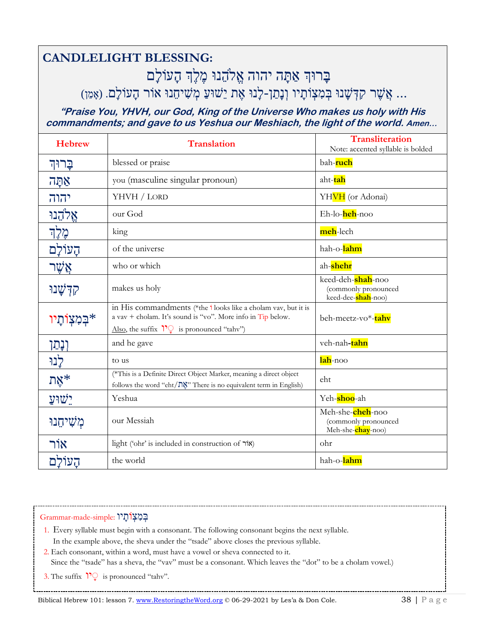### **CANDLELIGHT BLESSING:**  בְרוּוְּ אַתָּה יהוה אֱלֹהֵנוּ מֶלֶךְ הָעוֹלָם

... אֲשֶׁר קִדְּשָׁנוּ בְּמִצְוֹתָיו וְנָתַן-לָנוּ אֶת יֵשׁוּעַ מְשִׁיחֵנוּ אוֹר הָעוֹלָם. (אָמֵן)

**"Praise You, YHVH, our God, King of the Universe Who makes us holy with His commandments; and gave to us Yeshua our Meshiach, the light of the world. Amen…**

| <b>Hebrew</b>    | <b>Translation</b>                                                                                                                                                                              | <b>Transliteration</b><br>Note: accented syllable is bolded                             |
|------------------|-------------------------------------------------------------------------------------------------------------------------------------------------------------------------------------------------|-----------------------------------------------------------------------------------------|
| בַרוּדִ          | blessed or praise                                                                                                                                                                               | bah-ruch                                                                                |
| אַתָּה           | you (masculine singular pronoun)                                                                                                                                                                | aht-tah                                                                                 |
| יהוה             | YHVH / LORD                                                                                                                                                                                     | YHVH (or Adonai)                                                                        |
| אֱלֹהֶנוּ        | our God                                                                                                                                                                                         | Eh-lo-heh-noo                                                                           |
| מֶלֶךְ           | king                                                                                                                                                                                            | meh-lech                                                                                |
| הָעוֹלָם         | of the universe                                                                                                                                                                                 | hah-o-lahm                                                                              |
| אֲשֶׁר           | who or which                                                                                                                                                                                    | ah-shehr                                                                                |
| קִדְּשָׁנוּ      | makes us holy                                                                                                                                                                                   | keed-deh- <b>shah</b> -noo<br>(commonly pronounced<br>keed-dee- <mark>shah</mark> -noo) |
| יִּבְמִצְוֹתָיו# | in His commandments (*the i looks like a cholam vav, but it is<br>$a$ vav + cholam. It's sound is "vo". More info in Tip below.<br>Also, the suffix $\mathcal{V}^{\circ}$ is pronounced "tahv") | beh-meetz-vo <sup>*</sup> -tahv                                                         |
| <u>וְנְתַן</u>   | and he gave                                                                                                                                                                                     | veh-nah <b>-tahn</b>                                                                    |
| לְנוּ            | to us                                                                                                                                                                                           | lah-noo                                                                                 |
| אָת#             | (*This is a Definite Direct Object Marker, meaning a direct object<br>follows the word "eht/ $\sum_{i=1}^{N}$ " There is no equivalent term in English)                                         | eht                                                                                     |
| יַשׁוּעַ         | Yeshua                                                                                                                                                                                          | Yeh- <b>shoo</b> -ah                                                                    |
| מְשִׁיחֵנוּ      | our Messiah                                                                                                                                                                                     | Meh-she-cheh-noo<br>(commonly pronounced<br>Meh-she-chay-noo)                           |
| אור              | light ('ohr' is included in construction of $\n  N\n$ )                                                                                                                                         | ohr                                                                                     |
| העולם            | the world                                                                                                                                                                                       | hah-o-lahm                                                                              |

#### בְמִצְוֹתָיו :Grammar-made-simple:

- 1. Every syllable must begin with a consonant. The following consonant begins the next syllable. In the example above, the sheva under the "tsade" above closes the previous syllable.
- 2. Each consonant, within a word, must have a vowel or sheva connected to it.

Since the "tsade" has a sheva, the "vav" must be a consonant. Which leaves the "dot" to be a cholam vowel.)

3. The suffix  $\mathcal{V} \circled{S}$  is pronounced "tahv".